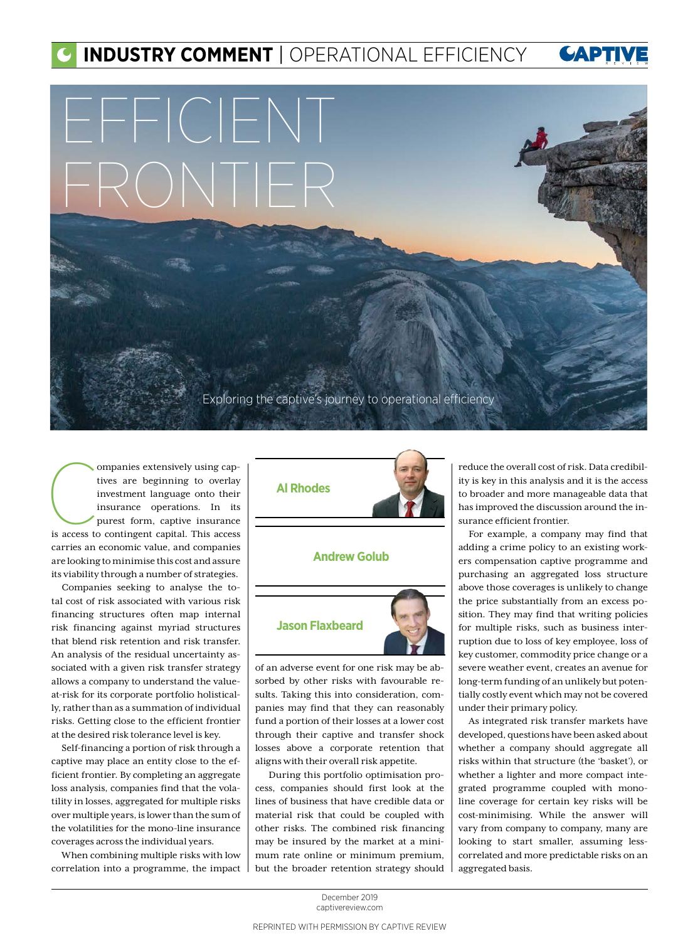## **INDUSTRY COMMENT** | OPERATIONAL EFFICIENCY **CAPTI**

## EFFICIENT FRONTIER

Exploring the captive's journey to operational efficiency

ompanies extensively using cap-<br>tives are beginning to overlay<br>investment language onto their<br>insurance operations. In its<br>purest form, captive insurance<br>is access to contingent capital. This access ompanies extensively using captives are beginning to overlay investment language onto their insurance operations. In its purest form, captive insurance carries an economic value, and companies are looking to minimise this cost and assure its viability through a number of strategies.

Companies seeking to analyse the total cost of risk associated with various risk financing structures often map internal risk financing against myriad structures that blend risk retention and risk transfer. An analysis of the residual uncertainty associated with a given risk transfer strategy allows a company to understand the valueat-risk for its corporate portfolio holistically, rather than as a summation of individual risks. Getting close to the efficient frontier at the desired risk tolerance level is key.

Self-financing a portion of risk through a captive may place an entity close to the efficient frontier. By completing an aggregate loss analysis, companies find that the volatility in losses, aggregated for multiple risks over multiple years, is lower than the sum of the volatilities for the mono-line insurance coverages across the individual years.

When combining multiple risks with low correlation into a programme, the impact





of an adverse event for one risk may be absorbed by other risks with favourable results. Taking this into consideration, companies may find that they can reasonably fund a portion of their losses at a lower cost through their captive and transfer shock losses above a corporate retention that aligns with their overall risk appetite.

 During this portfolio optimisation process, companies should first look at the lines of business that have credible data or material risk that could be coupled with other risks. The combined risk financing may be insured by the market at a minimum rate online or minimum premium, but the broader retention strategy should reduce the overall cost of risk. Data credibility is key in this analysis and it is the access to broader and more manageable data that has improved the discussion around the insurance efficient frontier.

For example, a company may find that adding a crime policy to an existing workers compensation captive programme and purchasing an aggregated loss structure above those coverages is unlikely to change the price substantially from an excess position. They may find that writing policies for multiple risks, such as business interruption due to loss of key employee, loss of key customer, commodity price change or a severe weather event, creates an avenue for long-term funding of an unlikely but potentially costly event which may not be covered under their primary policy.

As integrated risk transfer markets have developed, questions have been asked about whether a company should aggregate all risks within that structure (the 'basket'), or whether a lighter and more compact integrated programme coupled with monoline coverage for certain key risks will be cost-minimising. While the answer will vary from company to company, many are looking to start smaller, assuming lesscorrelated and more predictable risks on an aggregated basis.